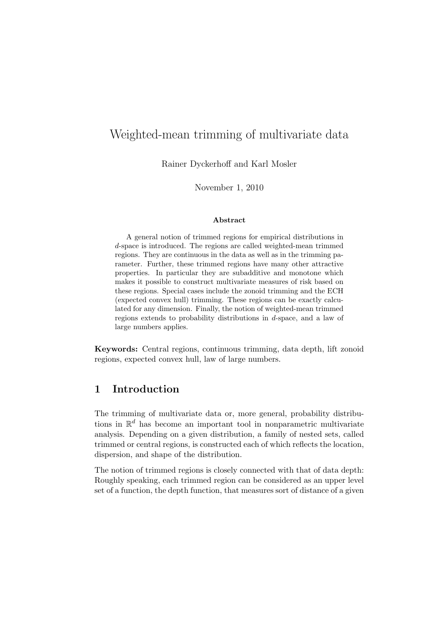# Weighted-mean trimming of multivariate data

Rainer Dyckerhoff and Karl Mosler

November 1, 2010

#### Abstract

A general notion of trimmed regions for empirical distributions in d-space is introduced. The regions are called weighted-mean trimmed regions. They are continuous in the data as well as in the trimming parameter. Further, these trimmed regions have many other attractive properties. In particular they are subadditive and monotone which makes it possible to construct multivariate measures of risk based on these regions. Special cases include the zonoid trimming and the ECH (expected convex hull) trimming. These regions can be exactly calculated for any dimension. Finally, the notion of weighted-mean trimmed regions extends to probability distributions in d-space, and a law of large numbers applies.

Keywords: Central regions, continuous trimming, data depth, lift zonoid regions, expected convex hull, law of large numbers.

## 1 Introduction

The trimming of multivariate data or, more general, probability distributions in  $\mathbb{R}^d$  has become an important tool in nonparametric multivariate analysis. Depending on a given distribution, a family of nested sets, called trimmed or central regions, is constructed each of which reflects the location, dispersion, and shape of the distribution.

The notion of trimmed regions is closely connected with that of data depth: Roughly speaking, each trimmed region can be considered as an upper level set of a function, the depth function, that measures sort of distance of a given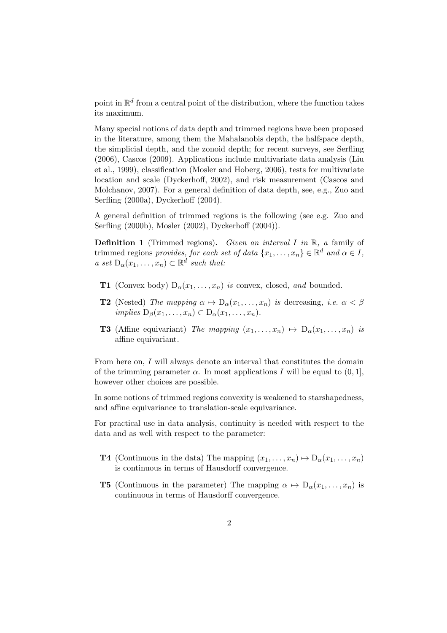point in  $\mathbb{R}^d$  from a central point of the distribution, where the function takes its maximum.

Many special notions of data depth and trimmed regions have been proposed in the literature, among them the Mahalanobis depth, the halfspace depth, the simplicial depth, and the zonoid depth; for recent surveys, see Serfling (2006), Cascos (2009). Applications include multivariate data analysis (Liu et al., 1999), classification (Mosler and Hoberg, 2006), tests for multivariate location and scale (Dyckerhoff, 2002), and risk measurement (Cascos and Molchanov, 2007). For a general definition of data depth, see, e.g., Zuo and Serfling (2000a), Dyckerhoff (2004).

A general definition of trimmed regions is the following (see e.g. Zuo and Serfling (2000b), Mosler (2002), Dyckerhoff (2004)).

**Definition 1** (Trimmed regions). Given an interval I in  $\mathbb{R}$ , a family of trimmed regions provides, for each set of data  $\{x_1, \ldots, x_n\} \in \mathbb{R}^d$  and  $\alpha \in I$ , a set  $D_{\alpha}(x_1,\ldots,x_n) \subset \mathbb{R}^d$  such that:

- **T1** (Convex body)  $D_{\alpha}(x_1, \ldots, x_n)$  is convex, closed, and bounded.
- **T2** (Nested) The mapping  $\alpha \mapsto D_{\alpha}(x_1, \ldots, x_n)$  is decreasing, i.e.  $\alpha < \beta$ implies  $D_{\beta}(x_1,\ldots,x_n) \subset D_{\alpha}(x_1,\ldots,x_n)$ .
- **T3** (Affine equivariant) The mapping  $(x_1, \ldots, x_n) \mapsto D_\alpha(x_1, \ldots, x_n)$  is affine equivariant.

From here on, I will always denote an interval that constitutes the domain of the trimming parameter  $\alpha$ . In most applications I will be equal to  $(0, 1]$ , however other choices are possible.

In some notions of trimmed regions convexity is weakened to starshapedness, and affine equivariance to translation-scale equivariance.

For practical use in data analysis, continuity is needed with respect to the data and as well with respect to the parameter:

- **T4** (Continuous in the data) The mapping  $(x_1, \ldots, x_n) \mapsto D_{\alpha}(x_1, \ldots, x_n)$ is continuous in terms of Hausdorff convergence.
- **T5** (Continuous in the parameter) The mapping  $\alpha \mapsto D_{\alpha}(x_1, \ldots, x_n)$  is continuous in terms of Hausdorff convergence.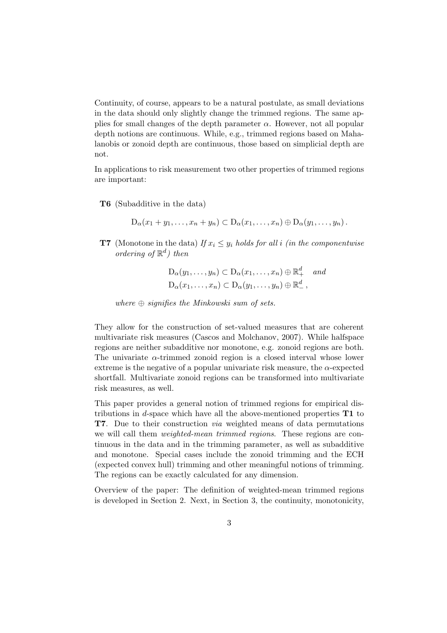Continuity, of course, appears to be a natural postulate, as small deviations in the data should only slightly change the trimmed regions. The same applies for small changes of the depth parameter  $\alpha$ . However, not all popular depth notions are continuous. While, e.g., trimmed regions based on Mahalanobis or zonoid depth are continuous, those based on simplicial depth are not.

In applications to risk measurement two other properties of trimmed regions are important:

T6 (Subadditive in the data)

$$
D_{\alpha}(x_1+y_1,\ldots,x_n+y_n)\subset D_{\alpha}(x_1,\ldots,x_n)\oplus D_{\alpha}(y_1,\ldots,y_n).
$$

**T7** (Monotone in the data) If  $x_i \leq y_i$  holds for all i (in the componentwise ordering of  $\mathbb{R}^d$ ) then

$$
D_{\alpha}(y_1,\ldots,y_n) \subset D_{\alpha}(x_1,\ldots,x_n) \oplus \mathbb{R}^d_+
$$
 and  

$$
D_{\alpha}(x_1,\ldots,x_n) \subset D_{\alpha}(y_1,\ldots,y_n) \oplus \mathbb{R}^d_-,
$$

where  $\oplus$  signifies the Minkowski sum of sets.

They allow for the construction of set-valued measures that are coherent multivariate risk measures (Cascos and Molchanov, 2007). While halfspace regions are neither subadditive nor monotone, e.g. zonoid regions are both. The univariate  $\alpha$ -trimmed zonoid region is a closed interval whose lower extreme is the negative of a popular univariate risk measure, the  $\alpha$ -expected shortfall. Multivariate zonoid regions can be transformed into multivariate risk measures, as well.

This paper provides a general notion of trimmed regions for empirical distributions in d-space which have all the above-mentioned properties  $T1$  to T7. Due to their construction via weighted means of data permutations we will call them weighted-mean trimmed regions. These regions are continuous in the data and in the trimming parameter, as well as subadditive and monotone. Special cases include the zonoid trimming and the ECH (expected convex hull) trimming and other meaningful notions of trimming. The regions can be exactly calculated for any dimension.

Overview of the paper: The definition of weighted-mean trimmed regions is developed in Section 2. Next, in Section 3, the continuity, monotonicity,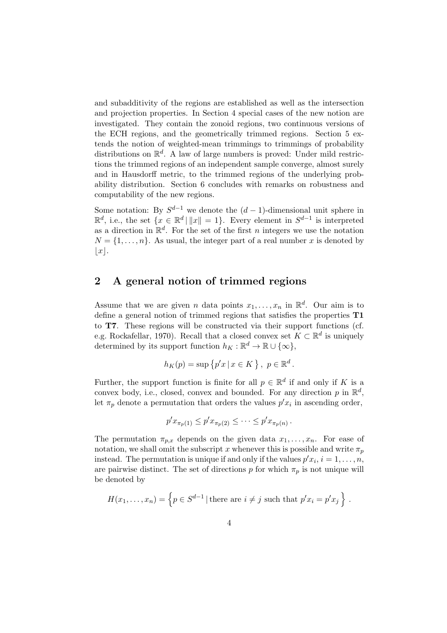and subadditivity of the regions are established as well as the intersection and projection properties. In Section 4 special cases of the new notion are investigated. They contain the zonoid regions, two continuous versions of the ECH regions, and the geometrically trimmed regions. Section 5 extends the notion of weighted-mean trimmings to trimmings of probability distributions on  $\mathbb{R}^d$ . A law of large numbers is proved: Under mild restrictions the trimmed regions of an independent sample converge, almost surely and in Hausdorff metric, to the trimmed regions of the underlying probability distribution. Section 6 concludes with remarks on robustness and computability of the new regions.

Some notation: By  $S^{d-1}$  we denote the  $(d-1)$ -dimensional unit sphere in  $\mathbb{R}^d$ , i.e., the set  $\{x \in \mathbb{R}^d \mid ||x|| = 1\}$ . Every element in  $S^{d-1}$  is interpreted as a direction in  $\mathbb{R}^d$ . For the set of the first *n* integers we use the notation  $N = \{1, \ldots, n\}$ . As usual, the integer part of a real number x is denoted by  $|x|$ .

## 2 A general notion of trimmed regions

Assume that we are given *n* data points  $x_1, \ldots, x_n$  in  $\mathbb{R}^d$ . Our aim is to define a general notion of trimmed regions that satisfies the properties T1 to T7. These regions will be constructed via their support functions (cf. e.g. Rockafellar, 1970). Recall that a closed convex set  $K \subset \mathbb{R}^d$  is uniquely determined by its support function  $h_K : \mathbb{R}^d \to \mathbb{R} \cup \{\infty\},\$ 

$$
h_K(p) = \sup \{ p'x \mid x \in K \}, \ p \in \mathbb{R}^d.
$$

Further, the support function is finite for all  $p \in \mathbb{R}^d$  if and only if K is a convex body, i.e., closed, convex and bounded. For any direction  $p$  in  $\mathbb{R}^d$ , let  $\pi_p$  denote a permutation that orders the values  $p'x_i$  in ascending order,

$$
p'x_{\pi_p(1)} \leq p'x_{\pi_p(2)} \leq \cdots \leq p'x_{\pi_p(n)}.
$$

The permutation  $\pi_{p,x}$  depends on the given data  $x_1, \ldots, x_n$ . For ease of notation, we shall omit the subscript x whenever this is possible and write  $\pi_p$ instead. The permutation is unique if and only if the values  $p'x_i$ ,  $i = 1, \ldots, n$ , are pairwise distinct. The set of directions p for which  $\pi_p$  is not unique will be denoted by

$$
H(x_1,\ldots,x_n) = \left\{ p \in S^{d-1} \mid \text{there are } i \neq j \text{ such that } p'x_i = p'x_j \right\}.
$$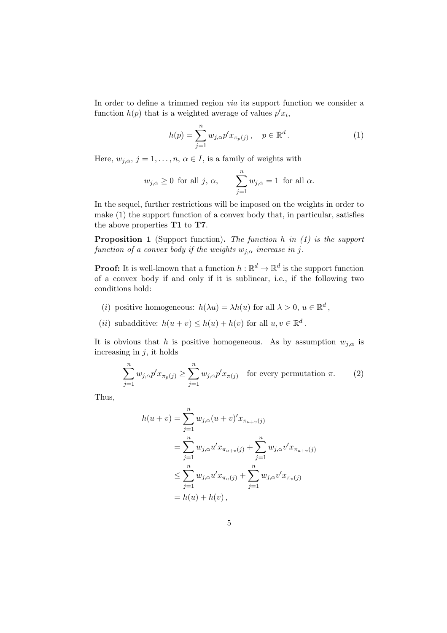In order to define a trimmed region via its support function we consider a function  $h(p)$  that is a weighted average of values  $p'x_i$ ,

$$
h(p) = \sum_{j=1}^{n} w_{j,\alpha} p' x_{\pi_p(j)}, \quad p \in \mathbb{R}^d.
$$
 (1)

Here,  $w_{j,\alpha}, j = 1, \ldots, n, \alpha \in I$ , is a family of weights with

$$
w_{j,\alpha} \ge 0
$$
 for all j,  $\alpha$ ,  $\sum_{j=1}^{n} w_{j,\alpha} = 1$  for all  $\alpha$ .

In the sequel, further restrictions will be imposed on the weights in order to make (1) the support function of a convex body that, in particular, satisfies the above properties T1 to T7.

**Proposition 1** (Support function). The function h in  $(1)$  is the support function of a convex body if the weights  $w_{j,\alpha}$  increase in j.

**Proof:** It is well-known that a function  $h : \mathbb{R}^d \to \mathbb{R}^d$  is the support function of a convex body if and only if it is sublinear, i.e., if the following two conditions hold:

- (*i*) positive homogeneous:  $h(\lambda u) = \lambda h(u)$  for all  $\lambda > 0, u \in \mathbb{R}^d$ ,
- (*ii*) subadditive:  $h(u + v) \leq h(u) + h(v)$  for all  $u, v \in \mathbb{R}^d$ .

It is obvious that h is positive homogeneous. As by assumption  $w_{i,\alpha}$  is increasing in  $j$ , it holds

$$
\sum_{j=1}^{n} w_{j,\alpha} p' x_{\pi_p(j)} \ge \sum_{j=1}^{n} w_{j,\alpha} p' x_{\pi(j)}
$$
 for every permutation  $\pi$ . (2)

Thus,

$$
h(u + v) = \sum_{j=1}^{n} w_{j,\alpha} (u + v)' x_{\pi_{u+v}(j)}
$$
  
= 
$$
\sum_{j=1}^{n} w_{j,\alpha} u' x_{\pi_{u+v}(j)} + \sum_{j=1}^{n} w_{j,\alpha} v' x_{\pi_{u+v}(j)}
$$
  

$$
\leq \sum_{j=1}^{n} w_{j,\alpha} u' x_{\pi_u(j)} + \sum_{j=1}^{n} w_{j,\alpha} v' x_{\pi_v(j)}
$$
  
= 
$$
h(u) + h(v),
$$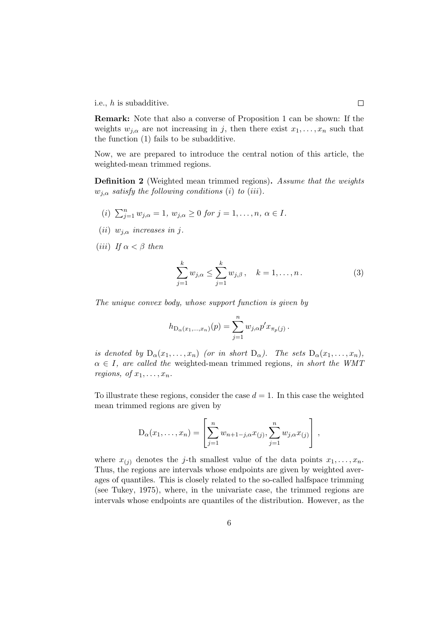i.e., h is subadditive.

Remark: Note that also a converse of Proposition 1 can be shown: If the weights  $w_{i,\alpha}$  are not increasing in j, then there exist  $x_1, \ldots, x_n$  such that the function (1) fails to be subadditive.

Now, we are prepared to introduce the central notion of this article, the weighted-mean trimmed regions.

Definition 2 (Weighted mean trimmed regions). Assume that the weights  $w_{j,\alpha}$  satisfy the following conditions (i) to (iii).

- (i)  $\sum_{j=1}^{n} w_{j,\alpha} = 1, w_{j,\alpha} \ge 0$  for  $j = 1, ..., n, \alpha \in I$ .
- (ii)  $w_{i,\alpha}$  increases in j.
- (*iii*) If  $\alpha < \beta$  then

$$
\sum_{j=1}^{k} w_{j,\alpha} \le \sum_{j=1}^{k} w_{j,\beta}, \quad k = 1, \dots, n. \tag{3}
$$

The unique convex body, whose support function is given by

$$
h_{\mathcal{D}_{\alpha}(x_1,\dots,x_n)}(p) = \sum_{j=1}^n w_{j,\alpha} p' x_{\pi_p(j)}.
$$

is denoted by  $D_{\alpha}(x_1,\ldots,x_n)$  (or in short  $D_{\alpha}$ ). The sets  $D_{\alpha}(x_1,\ldots,x_n)$ ,  $\alpha \in I$ , are called the weighted-mean trimmed regions, in short the WMT regions, of  $x_1, \ldots, x_n$ .

To illustrate these regions, consider the case  $d = 1$ . In this case the weighted mean trimmed regions are given by

$$
D_{\alpha}(x_1,...,x_n) = \left[\sum_{j=1}^n w_{n+1-j,\alpha} x_{(j)}, \sum_{j=1}^n w_{j,\alpha} x_{(j)}\right],
$$

where  $x_{(i)}$  denotes the j-th smallest value of the data points  $x_1, \ldots, x_n$ . Thus, the regions are intervals whose endpoints are given by weighted averages of quantiles. This is closely related to the so-called halfspace trimming (see Tukey, 1975), where, in the univariate case, the trimmed regions are intervals whose endpoints are quantiles of the distribution. However, as the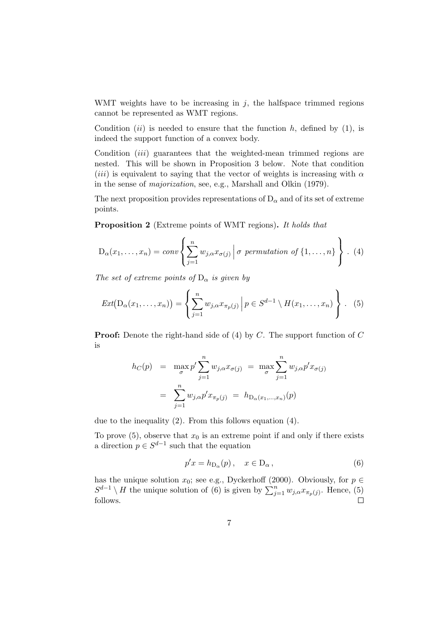WMT weights have to be increasing in  $j$ , the halfspace trimmed regions cannot be represented as WMT regions.

Condition  $(ii)$  is needed to ensure that the function h, defined by (1), is indeed the support function of a convex body.

Condition *(iii)* guarantees that the weighted-mean trimmed regions are nested. This will be shown in Proposition 3 below. Note that condition (*iii*) is equivalent to saying that the vector of weights is increasing with  $\alpha$ in the sense of majorization, see, e.g., Marshall and Olkin (1979).

The next proposition provides representations of  $D_{\alpha}$  and of its set of extreme points.

Proposition 2 (Extreme points of WMT regions). It holds that

$$
D_{\alpha}(x_1,\ldots,x_n) = conv \left\{ \sum_{j=1}^n w_{j,\alpha} x_{\sigma(j)} \middle| \sigma \text{ permutation of } \{1,\ldots,n\} \right\} . (4)
$$

The set of extreme points of  $D_{\alpha}$  is given by

$$
Ext(D_{\alpha}(x_1,\ldots,x_n)) = \left\{\sum_{j=1}^n w_{j,\alpha} x_{\pi_p(j)} \middle| p \in S^{d-1} \setminus H(x_1,\ldots,x_n)\right\}.
$$
 (5)

**Proof:** Denote the right-hand side of  $(4)$  by C. The support function of C is

$$
h_C(p) = \max_{\sigma} p' \sum_{j=1}^n w_{j,\alpha} x_{\sigma(j)} = \max_{\sigma} \sum_{j=1}^n w_{j,\alpha} p' x_{\sigma(j)}
$$

$$
= \sum_{j=1}^n w_{j,\alpha} p' x_{\pi_p(j)} = h_{D_{\alpha}(x_1,...,x_n)}(p)
$$

due to the inequality (2). From this follows equation (4).

To prove  $(5)$ , observe that  $x_0$  is an extreme point if and only if there exists a direction  $p \in S^{d-1}$  such that the equation

$$
p'x = h_{D_{\alpha}}(p), \quad x \in D_{\alpha}, \tag{6}
$$

has the unique solution  $x_0$ ; see e.g., Dyckerhoff (2000). Obviously, for  $p \in$  $S^{d-1}\setminus H$  the unique solution of (6) is given by  $\sum_{j=1}^{n} w_{j,\alpha} x_{\pi_p(j)}$ . Hence, (5) follows.  $\Box$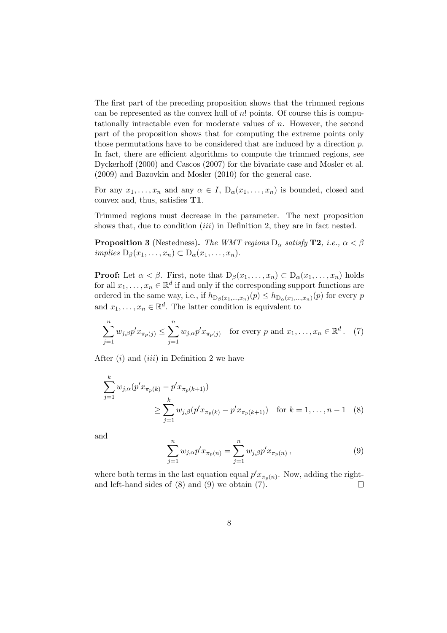The first part of the preceding proposition shows that the trimmed regions can be represented as the convex hull of  $n!$  points. Of course this is computationally intractable even for moderate values of  $n$ . However, the second part of the proposition shows that for computing the extreme points only those permutations have to be considered that are induced by a direction p. In fact, there are efficient algorithms to compute the trimmed regions, see Dyckerhoff (2000) and Cascos (2007) for the bivariate case and Mosler et al. (2009) and Bazovkin and Mosler (2010) for the general case.

For any  $x_1, \ldots, x_n$  and any  $\alpha \in I$ ,  $D_{\alpha}(x_1, \ldots, x_n)$  is bounded, closed and convex and, thus, satisfies T1.

Trimmed regions must decrease in the parameter. The next proposition shows that, due to condition  $(iii)$  in Definition 2, they are in fact nested.

**Proposition 3** (Nestedness). The WMT regions  $D_{\alpha}$  satisfy **T2**, i.e.,  $\alpha < \beta$ implies  $D_\beta(x_1,\ldots,x_n) \subset D_\alpha(x_1,\ldots,x_n)$ .

**Proof:** Let  $\alpha < \beta$ . First, note that  $D_{\beta}(x_1, \ldots, x_n) \subset D_{\alpha}(x_1, \ldots, x_n)$  holds for all  $x_1, \ldots, x_n \in \mathbb{R}^d$  if and only if the corresponding support functions are ordered in the same way, i.e., if  $h_{\mathcal{D}_{\beta}(x_1,\dots,x_n)}(p) \leq h_{\mathcal{D}_{\alpha}(x_1,\dots,x_n)}(p)$  for every  $p$ and  $x_1, \ldots, x_n \in \mathbb{R}^d$ . The latter condition is equivalent to

$$
\sum_{j=1}^{n} w_{j,\beta} p' x_{\pi_p(j)} \leq \sum_{j=1}^{n} w_{j,\alpha} p' x_{\pi_p(j)} \quad \text{for every } p \text{ and } x_1, \dots, x_n \in \mathbb{R}^d. \tag{7}
$$

After  $(i)$  and  $(iii)$  in Definition 2 we have

$$
\sum_{j=1}^{k} w_{j,\alpha}(p' x_{\pi_p(k)} - p' x_{\pi_p(k+1)})
$$
\n
$$
\geq \sum_{j=1}^{k} w_{j,\beta}(p' x_{\pi_p(k)} - p' x_{\pi_p(k+1)}) \quad \text{for } k = 1, \dots, n-1 \quad (8)
$$

and

$$
\sum_{j=1}^{n} w_{j,\alpha} p' x_{\pi_p(n)} = \sum_{j=1}^{n} w_{j,\beta} p' x_{\pi_p(n)}, \qquad (9)
$$

where both terms in the last equation equal  $p' x_{\pi_p(n)}$ . Now, adding the rightand left-hand sides of (8) and (9) we obtain (7).  $\Box$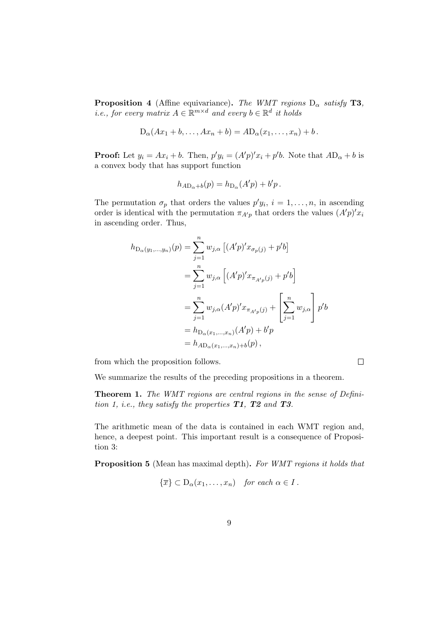**Proposition 4** (Affine equivariance). The WMT regions  $D_{\alpha}$  satisfy **T3**, *i.e.*, for every matrix  $A \in \mathbb{R}^{m \times d}$  and every  $b \in \mathbb{R}^d$  it holds

$$
D_{\alpha}(Ax_1 + b, \ldots, Ax_n + b) = AD_{\alpha}(x_1, \ldots, x_n) + b.
$$

**Proof:** Let  $y_i = Ax_i + b$ . Then,  $p'y_i = (A'p)'x_i + p'b$ . Note that  $AD_\alpha + b$  is a convex body that has support function

$$
h_{A\mathcal{D}_{\alpha}+b}(p) = h_{\mathcal{D}_{\alpha}}(A'p) + b'p.
$$

The permutation  $\sigma_p$  that orders the values  $p'y_i$ ,  $i = 1, \ldots, n$ , in ascending order is identical with the permutation  $\pi_{A'p}$  that orders the values  $(A'p)'x_i$ in ascending order. Thus,

$$
h_{\mathcal{D}_{\alpha}(y_1,...,y_n)}(p) = \sum_{j=1}^n w_{j,\alpha} [(A'p)' x_{\sigma_p(j)} + p'b]
$$
  
\n
$$
= \sum_{j=1}^n w_{j,\alpha} [(A'p)' x_{\pi_{A'p}(j)} + p'b]
$$
  
\n
$$
= \sum_{j=1}^n w_{j,\alpha} (A'p)' x_{\pi_{A'p}(j)} + \left[ \sum_{j=1}^n w_{j,\alpha} \right] p'b
$$
  
\n
$$
= h_{\mathcal{D}_{\alpha}(x_1,...,x_n)} (A'p) + b'p
$$
  
\n
$$
= h_{A\mathcal{D}_{\alpha}(x_1,...,x_n)+b}(p),
$$

from which the proposition follows.

We summarize the results of the preceding propositions in a theorem.

Theorem 1. The WMT regions are central regions in the sense of Definition 1, i.e., they satisfy the properties  $T1$ ,  $T2$  and  $T3$ .

 $\Box$ 

The arithmetic mean of the data is contained in each WMT region and, hence, a deepest point. This important result is a consequence of Proposition 3:

Proposition 5 (Mean has maximal depth). For WMT regions it holds that

$$
\{\overline{x}\}\subset D_{\alpha}(x_1,\ldots,x_n) \quad \text{for each } \alpha \in I.
$$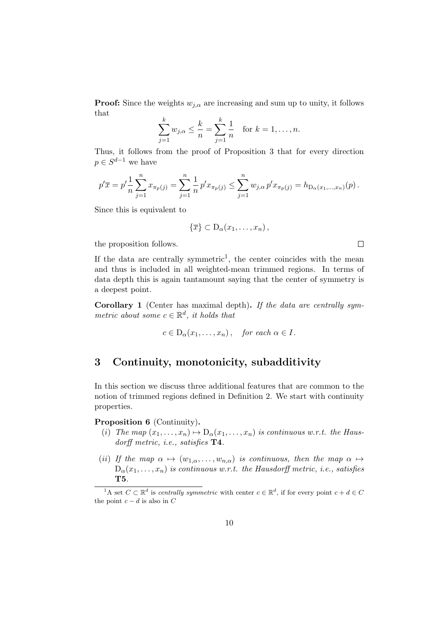**Proof:** Since the weights  $w_{i,\alpha}$  are increasing and sum up to unity, it follows that

$$
\sum_{j=1}^{k} w_{j,\alpha} \leq \frac{k}{n} = \sum_{j=1}^{k} \frac{1}{n} \text{ for } k = 1, \dots, n.
$$

Thus, it follows from the proof of Proposition 3 that for every direction  $p \in S^{d-1}$  we have

$$
p'\overline{x} = p'\frac{1}{n}\sum_{j=1}^n x_{\pi_p(j)} = \sum_{j=1}^n \frac{1}{n} p' x_{\pi_p(j)} \le \sum_{j=1}^n w_{j,\alpha} p' x_{\pi_p(j)} = h_{\mathcal{D}_{\alpha}(x_1,\ldots,x_n)}(p).
$$

Since this is equivalent to

$$
\{\overline{x}\}\subset D_{\alpha}(x_1,\ldots,x_n)\,,
$$

 $\Box$ 

the proposition follows.

If the data are centrally symmetric<sup>1</sup>, the center coincides with the mean and thus is included in all weighted-mean trimmed regions. In terms of data depth this is again tantamount saying that the center of symmetry is a deepest point.

Corollary 1 (Center has maximal depth). If the data are centrally symmetric about some  $c \in \mathbb{R}^d$ , it holds that

$$
c \in D_{\alpha}(x_1, \ldots, x_n), \quad \text{for each } \alpha \in I.
$$

## 3 Continuity, monotonicity, subadditivity

In this section we discuss three additional features that are common to the notion of trimmed regions defined in Definition 2. We start with continuity properties.

#### Proposition 6 (Continuity).

- (i) The map  $(x_1, \ldots, x_n) \mapsto D_\alpha(x_1, \ldots, x_n)$  is continuous w.r.t. the Hausdorff metric, i.e., satisfies T4.
- (ii) If the map  $\alpha \mapsto (w_{1,\alpha}, \ldots, w_{n,\alpha})$  is continuous, then the map  $\alpha \mapsto$  $D_{\alpha}(x_1,\ldots,x_n)$  is continuous w.r.t. the Hausdorff metric, i.e., satisfies T5.

<sup>&</sup>lt;sup>1</sup>A set  $C \subset \mathbb{R}^d$  is centrally symmetric with center  $c \in \mathbb{R}^d$ , if for every point  $c + d \in C$ the point  $c - d$  is also in  $C$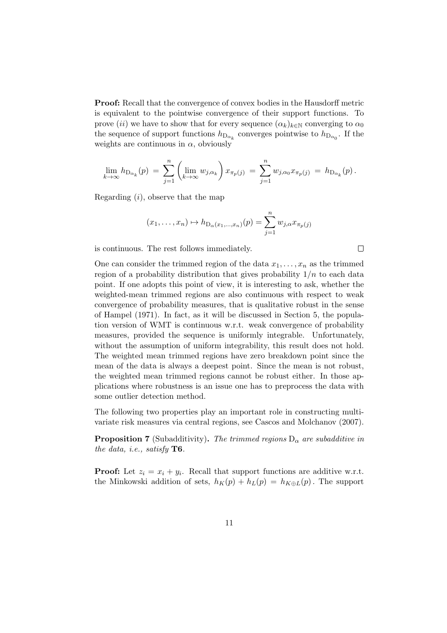Proof: Recall that the convergence of convex bodies in the Hausdorff metric is equivalent to the pointwise convergence of their support functions. To prove (ii) we have to show that for every sequence  $(\alpha_k)_{k\in\mathbb{N}}$  converging to  $\alpha_0$ the sequence of support functions  $h_{D_{\alpha_k}}$  converges pointwise to  $h_{D_{\alpha_0}}$ . If the weights are continuous in  $\alpha$ , obviously

$$
\lim_{k \to \infty} h_{D_{\alpha_k}}(p) = \sum_{j=1}^n \left( \lim_{k \to \infty} w_{j,\alpha_k} \right) x_{\pi_p(j)} = \sum_{j=1}^n w_{j,\alpha_0} x_{\pi_p(j)} = h_{D_{\alpha_k}}(p).
$$

Regarding  $(i)$ , observe that the map

$$
(x_1,...,x_n) \mapsto h_{D_{\alpha}(x_1,...,x_n)}(p) = \sum_{j=1}^n w_{j,\alpha} x_{\pi_p(j)}
$$

 $\Box$ 

is continuous. The rest follows immediately.

One can consider the trimmed region of the data  $x_1, \ldots, x_n$  as the trimmed region of a probability distribution that gives probability  $1/n$  to each data point. If one adopts this point of view, it is interesting to ask, whether the weighted-mean trimmed regions are also continuous with respect to weak convergence of probability measures, that is qualitative robust in the sense of Hampel (1971). In fact, as it will be discussed in Section 5, the population version of WMT is continuous w.r.t. weak convergence of probability measures, provided the sequence is uniformly integrable. Unfortunately, without the assumption of uniform integrability, this result does not hold. The weighted mean trimmed regions have zero breakdown point since the mean of the data is always a deepest point. Since the mean is not robust, the weighted mean trimmed regions cannot be robust either. In those applications where robustness is an issue one has to preprocess the data with some outlier detection method.

The following two properties play an important role in constructing multivariate risk measures via central regions, see Cascos and Molchanov (2007).

**Proposition 7** (Subadditivity). The trimmed regions  $D_{\alpha}$  are subadditive in the data, i.e., satisfy  $T6$ .

**Proof:** Let  $z_i = x_i + y_i$ . Recall that support functions are additive w.r.t. the Minkowski addition of sets,  $h_K(p) + h_L(p) = h_{K \oplus L}(p)$ . The support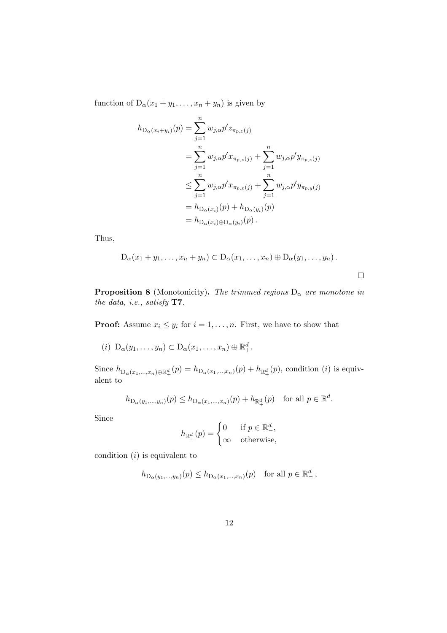function of  $D_{\alpha}(x_1 + y_1, \ldots, x_n + y_n)$  is given by

$$
h_{\mathcal{D}_{\alpha}(x_i+y_i)}(p) = \sum_{j=1}^{n} w_{j,\alpha} p' z_{\pi_{p,z}(j)}
$$
  
\n
$$
= \sum_{j=1}^{n} w_{j,\alpha} p' x_{\pi_{p,z}(j)} + \sum_{j=1}^{n} w_{j,\alpha} p' y_{\pi_{p,z}(j)}
$$
  
\n
$$
\leq \sum_{j=1}^{n} w_{j,\alpha} p' x_{\pi_{p,x}(j)} + \sum_{j=1}^{n} w_{j,\alpha} p' y_{\pi_{p,y}(j)}
$$
  
\n
$$
= h_{\mathcal{D}_{\alpha}(x_i)}(p) + h_{\mathcal{D}_{\alpha}(y_i)}(p)
$$
  
\n
$$
= h_{\mathcal{D}_{\alpha}(x_i) \oplus \mathcal{D}_{\alpha}(y_i)}(p).
$$

Thus,

$$
D_{\alpha}(x_1+y_1,\ldots,x_n+y_n)\subset D_{\alpha}(x_1,\ldots,x_n)\oplus D_{\alpha}(y_1,\ldots,y_n).
$$

 $\Box$ 

**Proposition 8** (Monotonicity). The trimmed regions  $D_{\alpha}$  are monotone in the data, i.e., satisfy T7.

**Proof:** Assume  $x_i \leq y_i$  for  $i = 1, ..., n$ . First, we have to show that

(i)  $D_{\alpha}(y_1,\ldots,y_n) \subset D_{\alpha}(x_1,\ldots,x_n) \oplus \mathbb{R}^d_+.$ 

Since  $h_{\text{D}_{\alpha}(x_1,\dots,x_n)\oplus \mathbb{R}^d_+}(p) = h_{\text{D}_{\alpha}(x_1,\dots,x_n)}(p) + h_{\mathbb{R}^d_+}(p)$ , condition (*i*) is equivalent to

$$
h_{\mathcal{D}_{\alpha}(y_1,\ldots,y_n)}(p) \leq h_{\mathcal{D}_{\alpha}(x_1,\ldots,x_n)}(p) + h_{\mathbb{R}^d_+}(p) \quad \text{for all } p \in \mathbb{R}^d.
$$

Since

$$
h_{\mathbb{R}^d_+}(p) = \begin{cases} 0 & \text{if } p \in \mathbb{R}^d_-, \\ \infty & \text{otherwise}, \end{cases}
$$

condition  $(i)$  is equivalent to

$$
h_{\mathcal{D}_{\alpha}(y_1,\ldots,y_n)}(p) \leq h_{\mathcal{D}_{\alpha}(x_1,\ldots,x_n)}(p) \quad \text{for all } p \in \mathbb{R}^d_-,
$$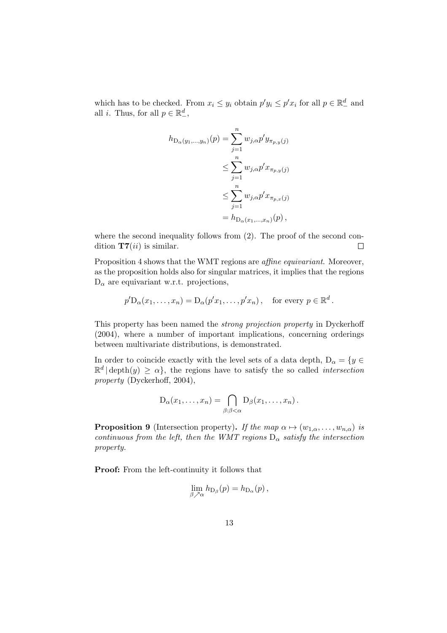which has to be checked. From  $x_i \leq y_i$  obtain  $p'y_i \leq p'x_i$  for all  $p \in \mathbb{R}^d_-$  and all *i*. Thus, for all  $p \in \mathbb{R}^d_-,$ 

$$
h_{\mathcal{D}_{\alpha}(y_1,\dots,y_n)}(p) = \sum_{j=1}^n w_{j,\alpha} p' y_{\pi_{p,y}(j)}
$$
  
\n
$$
\leq \sum_{j=1}^n w_{j,\alpha} p' x_{\pi_{p,y}(j)}
$$
  
\n
$$
\leq \sum_{j=1}^n w_{j,\alpha} p' x_{\pi_{p,x}(j)}
$$
  
\n
$$
= h_{\mathcal{D}_{\alpha}(x_1,\dots,x_n)}(p),
$$

where the second inequality follows from  $(2)$ . The proof of the second condition  $T7(ii)$  is similar.  $\Box$ 

Proposition 4 shows that the WMT regions are *affine equivariant*. Moreover, as the proposition holds also for singular matrices, it implies that the regions  $D_{\alpha}$  are equivariant w.r.t. projections,

$$
p'D_{\alpha}(x_1,\ldots,x_n) = D_{\alpha}(p'x_1,\ldots,p'x_n),
$$
 for every  $p \in \mathbb{R}^d$ .

This property has been named the strong projection property in Dyckerhoff (2004), where a number of important implications, concerning orderings between multivariate distributions, is demonstrated.

In order to coincide exactly with the level sets of a data depth,  $D_{\alpha} = \{y \in$  $\mathbb{R}^d \mid \text{depth}(y) \ge \alpha$ , the regions have to satisfy the so called *intersection* property (Dyckerhoff, 2004),

$$
D_{\alpha}(x_1,\ldots,x_n)=\bigcap_{\beta:\beta<\alpha}D_{\beta}(x_1,\ldots,x_n).
$$

**Proposition 9** (Intersection property). If the map  $\alpha \mapsto (w_{1,\alpha}, \ldots, w_{n,\alpha})$  is continuous from the left, then the WMT regions  $D_{\alpha}$  satisfy the intersection property.

Proof: From the left-continuity it follows that

$$
\lim_{\beta \nearrow \alpha} h_{\mathcal{D}_{\beta}}(p) = h_{\mathcal{D}_{\alpha}}(p),
$$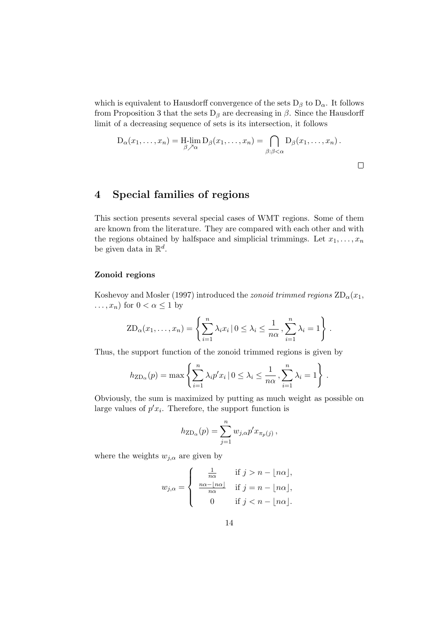which is equivalent to Hausdorff convergence of the sets  $D_\beta$  to  $D_\alpha$ . It follows from Proposition 3 that the sets  $D_\beta$  are decreasing in  $\beta$ . Since the Hausdorff limit of a decreasing sequence of sets is its intersection, it follows

$$
D_{\alpha}(x_1,\ldots,x_n)=\underset{\beta\nearrow\alpha}{\text{H-lim }}D_{\beta}(x_1,\ldots,x_n)=\bigcap_{\beta:\beta<\alpha}D_{\beta}(x_1,\ldots,x_n).
$$

 $\Box$ 

## 4 Special families of regions

This section presents several special cases of WMT regions. Some of them are known from the literature. They are compared with each other and with the regions obtained by halfspace and simplicial trimmings. Let  $x_1, \ldots, x_n$ be given data in  $\mathbb{R}^d$ .

#### Zonoid regions

Koshevoy and Mosler (1997) introduced the *zonoid trimmed regions*  $\text{ZD}_{\alpha}(x_1)$ ,  $\dots, x_n)$  for  $0 < \alpha \leq 1$  by

$$
ZD_{\alpha}(x_1,\ldots,x_n) = \left\{ \sum_{i=1}^n \lambda_i x_i \, | \, 0 \leq \lambda_i \leq \frac{1}{n\alpha}, \sum_{i=1}^n \lambda_i = 1 \right\}.
$$

Thus, the support function of the zonoid trimmed regions is given by

$$
h_{\text{ZD}_{\alpha}}(p) = \max \left\{ \sum_{i=1}^{n} \lambda_i p' x_i \, | \, 0 \leq \lambda_i \leq \frac{1}{n\alpha}, \sum_{i=1}^{n} \lambda_i = 1 \right\} \, .
$$

Obviously, the sum is maximized by putting as much weight as possible on large values of  $p'x_i$ . Therefore, the support function is

$$
h_{\text{ZD}_{\alpha}}(p) = \sum_{j=1}^{n} w_{j,\alpha} p' x_{\pi_p(j)},
$$

where the weights  $w_{j,\alpha}$  are given by

$$
w_{j,\alpha} = \begin{cases} \frac{1}{n\alpha} & \text{if } j > n - \lfloor n\alpha \rfloor, \\ \frac{n\alpha - \lfloor n\alpha \rfloor}{n\alpha} & \text{if } j = n - \lfloor n\alpha \rfloor, \\ 0 & \text{if } j < n - \lfloor n\alpha \rfloor. \end{cases}
$$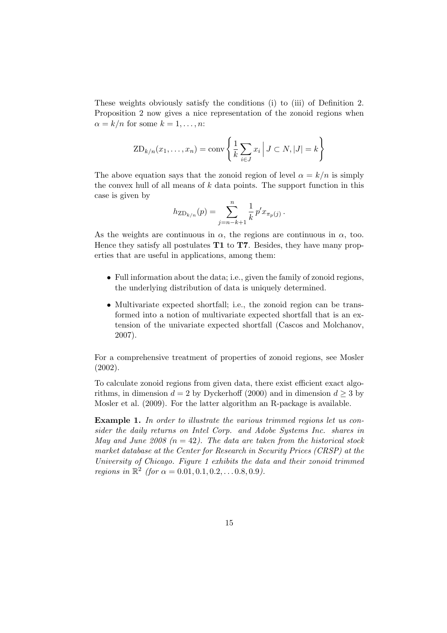These weights obviously satisfy the conditions (i) to (iii) of Definition 2. Proposition 2 now gives a nice representation of the zonoid regions when  $\alpha = k/n$  for some  $k = 1, \ldots, n$ :

$$
ZD_{k/n}(x_1,\ldots,x_n) = \text{conv}\left\{\frac{1}{k}\sum_{i\in J}x_i \middle| J\subset N, |J|=k\right\}
$$

The above equation says that the zonoid region of level  $\alpha = k/n$  is simply the convex hull of all means of  $k$  data points. The support function in this case is given by

$$
h_{\text{ZD}_{k/n}}(p) = \sum_{j=n-k+1}^{n} \frac{1}{k} p' x_{\pi_p(j)}.
$$

As the weights are continuous in  $\alpha$ , the regions are continuous in  $\alpha$ , too. Hence they satisfy all postulates  $T1$  to  $T7$ . Besides, they have many properties that are useful in applications, among them:

- Full information about the data; i.e., given the family of zonoid regions, the underlying distribution of data is uniquely determined.
- Multivariate expected shortfall; i.e., the zonoid region can be transformed into a notion of multivariate expected shortfall that is an extension of the univariate expected shortfall (Cascos and Molchanov, 2007).

For a comprehensive treatment of properties of zonoid regions, see Mosler (2002).

To calculate zonoid regions from given data, there exist efficient exact algorithms, in dimension  $d = 2$  by Dyckerhoff (2000) and in dimension  $d \geq 3$  by Mosler et al. (2009). For the latter algorithm an R-package is available.

Example 1. In order to illustrate the various trimmed regions let us consider the daily returns on Intel Corp. and Adobe Systems Inc. shares in May and June 2008 ( $n = 42$ ). The data are taken from the historical stock market database at the Center for Research in Security Prices (CRSP) at the University of Chicago. Figure 1 exhibits the data and their zonoid trimmed *regions in*  $\mathbb{R}^2$  (for  $\alpha = 0.01, 0.1, 0.2, \ldots 0.8, 0.9$ ).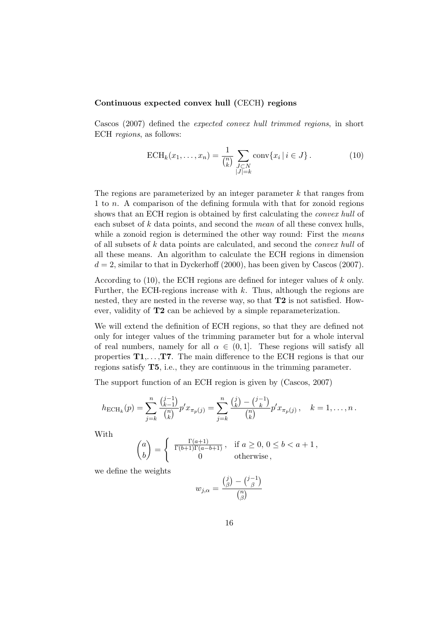### Continuous expected convex hull (CECH) regions

Cascos (2007) defined the expected convex hull trimmed regions, in short ECH regions, as follows:

$$
\text{ECH}_k(x_1, \dots, x_n) = \frac{1}{\binom{n}{k}} \sum_{\substack{J \subset N \\ |J| = k}} \text{conv}\{x_i \mid i \in J\}.
$$
 (10)

The regions are parameterized by an integer parameter  $k$  that ranges from 1 to n. A comparison of the defining formula with that for zonoid regions shows that an ECH region is obtained by first calculating the convex hull of each subset of k data points, and second the mean of all these convex hulls, while a zonoid region is determined the other way round: First the *means* of all subsets of k data points are calculated, and second the convex hull of all these means. An algorithm to calculate the ECH regions in dimension  $d = 2$ , similar to that in Dyckerhoff (2000), has been given by Cascos (2007).

According to (10), the ECH regions are defined for integer values of k only. Further, the ECH-regions increase with  $k$ . Thus, although the regions are nested, they are nested in the reverse way, so that T2 is not satisfied. However, validity of T2 can be achieved by a simple reparameterization.

We will extend the definition of ECH regions, so that they are defined not only for integer values of the trimming parameter but for a whole interval of real numbers, namely for all  $\alpha \in (0,1]$ . These regions will satisfy all properties  $T1, \ldots, T7$ . The main difference to the ECH regions is that our regions satisfy T5, i.e., they are continuous in the trimming parameter.

The support function of an ECH region is given by (Cascos, 2007)

$$
h_{\text{ECH}_k}(p) = \sum_{j=k}^n \frac{\binom{j-1}{k-1}}{\binom{n}{k}} p' x_{\pi_p(j)} = \sum_{j=k}^n \frac{\binom{j}{k} - \binom{j-1}{k}}{\binom{n}{k}} p' x_{\pi_p(j)}, \quad k = 1, \dots, n.
$$

With

$$
\binom{a}{b} = \left\{ \begin{array}{cl} \frac{\Gamma(a+1)}{\Gamma(b+1)\Gamma(a-b+1)} \, , & \text{if } a \geq 0, \, 0 \leq b < a+1 \, , \\ 0 & \text{otherwise} \, , \end{array} \right.
$$

we define the weights

$$
w_{j,\alpha} = \frac{{j \choose \beta} - {j-1 \choose \beta}}{{n \choose \beta}}
$$

j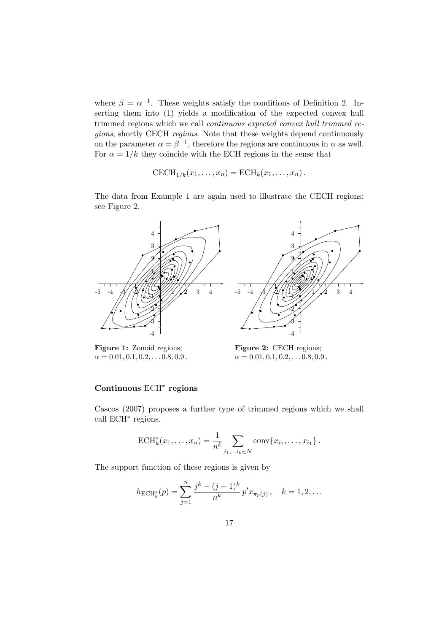where  $\beta = \alpha^{-1}$ . These weights satisfy the conditions of Definition 2. Inserting them into (1) yields a modification of the expected convex hull trimmed regions which we call continuous expected convex hull trimmed regions, shortly CECH regions. Note that these weights depend continuously on the parameter  $\alpha = \beta^{-1}$ , therefore the regions are continuous in  $\alpha$  as well. For  $\alpha = 1/k$  they coincide with the ECH regions in the sense that

$$
\mathrm{CECH}_{1/k}(x_1,\ldots,x_n)=\mathrm{ECH}_k(x_1,\ldots,x_n).
$$

The data from Example 1 are again used to illustrate the CECH regions; see Figure 2.



Figure 1: Zonoid regions;  $\alpha = 0.01, 0.1, 0.2, \ldots 0.8, 0.9$ .

Figure 2: CECH regions;  $\alpha = 0.01, 0.1, 0.2, \ldots 0.8, 0.9$ .

### Continuous ECH<sup>∗</sup> regions

Cascos (2007) proposes a further type of trimmed regions which we shall call ECH<sup>∗</sup> regions.

$$
ECH_k^*(x_1,\ldots,x_n) = \frac{1}{n^k} \sum_{i_1,\ldots i_k \in N} \text{conv}\{x_{i_1},\ldots,x_{i_1}\}.
$$

The support function of these regions is given by

$$
h_{\text{ECH}_{k}^{*}}(p) = \sum_{j=1}^{n} \frac{j^{k} - (j-1)^{k}}{n^{k}} p' x_{\pi_{p}(j)}, \quad k = 1, 2, ...
$$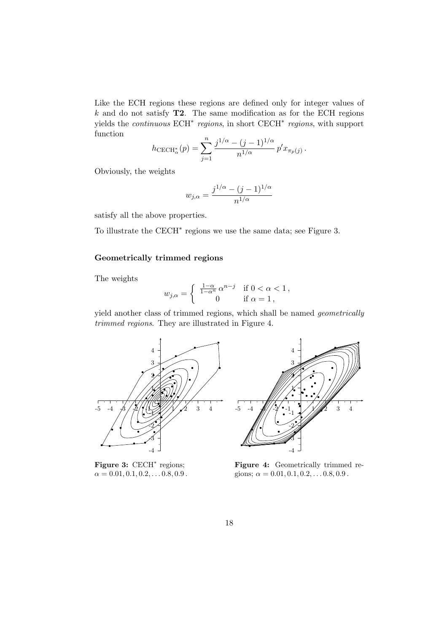Like the ECH regions these regions are defined only for integer values of  $k$  and do not satisfy **T2**. The same modification as for the ECH regions yields the *continuous* ECH<sup>\*</sup> regions, in short CECH<sup>\*</sup> regions, with support function

$$
h_{\text{CECH}_{\alpha}^*}(p) = \sum_{j=1}^n \frac{j^{1/\alpha} - (j-1)^{1/\alpha}}{n^{1/\alpha}} p' x_{\pi_p(j)}.
$$

Obviously, the weights

$$
w_{j,\alpha} = \frac{j^{1/\alpha} - (j-1)^{1/\alpha}}{n^{1/\alpha}}
$$

satisfy all the above properties.

To illustrate the CECH<sup>∗</sup> regions we use the same data; see Figure 3.

#### Geometrically trimmed regions

The weights

$$
w_{j,\alpha} = \begin{cases} \frac{1-\alpha}{1-\alpha^n} \alpha^{n-j} & \text{if } 0 < \alpha < 1, \\ 0 & \text{if } \alpha = 1, \end{cases}
$$

yield another class of trimmed regions, which shall be named geometrically trimmed regions. They are illustrated in Figure 4.



Figure 3: CECH<sup>\*</sup> regions;  $\alpha = 0.01, 0.1, 0.2, \ldots 0.8, 0.9$ .



Figure 4: Geometrically trimmed regions;  $\alpha = 0.01, 0.1, 0.2, \ldots 0.8, 0.9$ .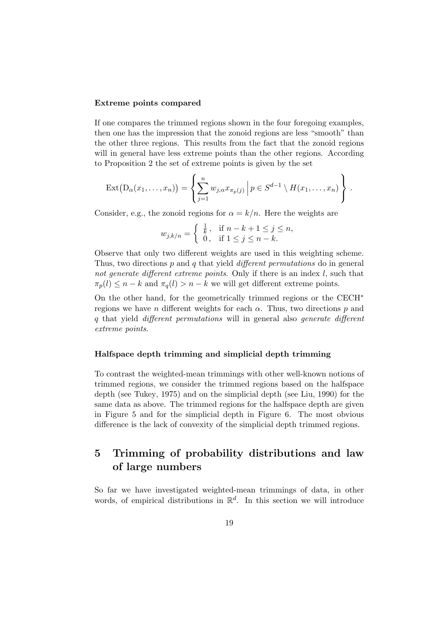#### Extreme points compared

If one compares the trimmed regions shown in the four foregoing examples, then one has the impression that the zonoid regions are less "smooth" than the other three regions. This results from the fact that the zonoid regions will in general have less extreme points than the other regions. According to Proposition 2 the set of extreme points is given by the set

$$
\operatorname{Ext}(D_{\alpha}(x_1,\ldots,x_n))=\left\{\sum_{j=1}^n w_{j,\alpha}x_{\pi_p(j)}\,\Big|\,p\in S^{d-1}\setminus H(x_1,\ldots,x_n)\right\}\,.
$$

Consider, e.g., the zonoid regions for  $\alpha = k/n$ . Here the weights are

$$
w_{j,k/n} = \begin{cases} \frac{1}{k}, & \text{if } n - k + 1 \le j \le n, \\ 0, & \text{if } 1 \le j \le n - k. \end{cases}
$$

Observe that only two different weights are used in this weighting scheme. Thus, two directions p and q that yield different permutations do in general not generate different extreme points. Only if there is an index  $l$ , such that  $\pi_p(l) \leq n - k$  and  $\pi_q(l) > n - k$  we will get different extreme points.

On the other hand, for the geometrically trimmed regions or the CECH<sup>∗</sup> regions we have n different weights for each  $\alpha$ . Thus, two directions p and q that yield different permutations will in general also generate different extreme points.

#### Halfspace depth trimming and simplicial depth trimming

To contrast the weighted-mean trimmings with other well-known notions of trimmed regions, we consider the trimmed regions based on the halfspace depth (see Tukey, 1975) and on the simplicial depth (see Liu, 1990) for the same data as above. The trimmed regions for the halfspace depth are given in Figure 5 and for the simplicial depth in Figure 6. The most obvious difference is the lack of convexity of the simplicial depth trimmed regions.

## 5 Trimming of probability distributions and law of large numbers

So far we have investigated weighted-mean trimmings of data, in other words, of empirical distributions in  $\mathbb{R}^d$ . In this section we will introduce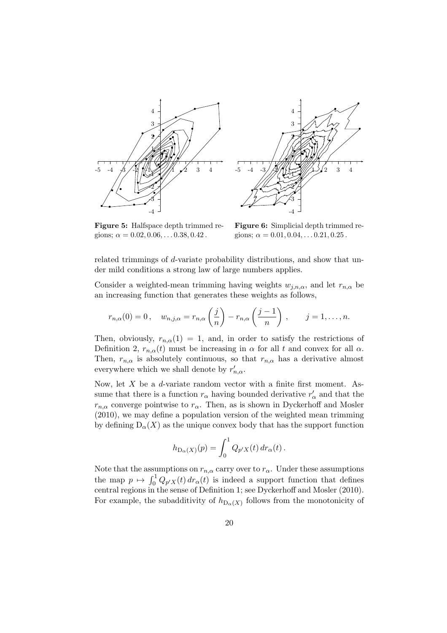



Figure 5: Halfspace depth trimmed regions;  $\alpha = 0.02, 0.06, \ldots 0.38, 0.42$ .

Figure 6: Simplicial depth trimmed regions;  $\alpha = 0.01, 0.04, \ldots 0.21, 0.25$ .

related trimmings of d-variate probability distributions, and show that under mild conditions a strong law of large numbers applies.

Consider a weighted-mean trimming having weights  $w_{j,n,\alpha}$ , and let  $r_{n,\alpha}$  be an increasing function that generates these weights as follows,

$$
r_{n,\alpha}(0)=0, \quad w_{n,j,\alpha}=r_{n,\alpha}\left(\frac{j}{n}\right)-r_{n,\alpha}\left(\frac{j-1}{n}\right), \qquad j=1,\ldots,n.
$$

Then, obviously,  $r_{n,\alpha}(1) = 1$ , and, in order to satisfy the restrictions of Definition 2,  $r_{n,\alpha}(t)$  must be increasing in  $\alpha$  for all t and convex for all  $\alpha$ . Then,  $r_{n,\alpha}$  is absolutely continuous, so that  $r_{n,\alpha}$  has a derivative almost everywhere which we shall denote by  $r'_{n,\alpha}$ .

Now, let  $X$  be a *d*-variate random vector with a finite first moment. Assume that there is a function  $r_{\alpha}$  having bounded derivative  $r'_{\alpha}$  and that the  $r_{n,\alpha}$  converge pointwise to  $r_\alpha$ . Then, as is shown in Dyckerhoff and Mosler (2010), we may define a population version of the weighted mean trimming by defining  $D_{\alpha}(X)$  as the unique convex body that has the support function

$$
h_{\mathcal{D}_{\alpha}(X)}(p) = \int_0^1 Q_{p'X}(t) dr_{\alpha}(t).
$$

Note that the assumptions on  $r_{n,\alpha}$  carry over to  $r_\alpha$ . Under these assumptions the map  $p \mapsto \int_0^1 Q_{p'X}(t) dr_\alpha(t)$  is indeed a support function that defines central regions in the sense of Definition 1; see Dyckerhoff and Mosler (2010). For example, the subadditivity of  $h_{D_{\alpha}(X)}$  follows from the monotonicity of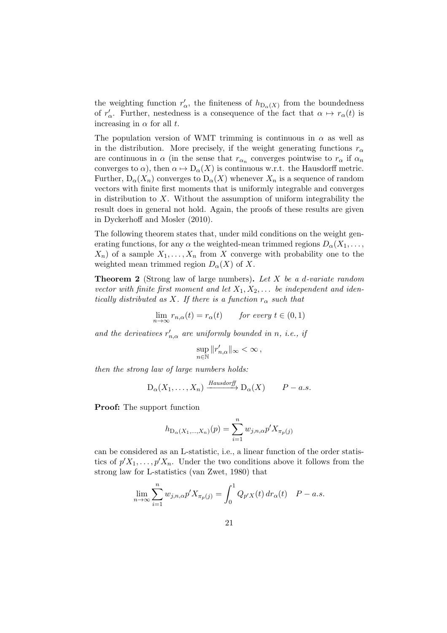the weighting function  $r'_{\alpha}$ , the finiteness of  $h_{D_{\alpha}(X)}$  from the boundedness of  $r'_\n\alpha$ . Further, nestedness is a consequence of the fact that  $\alpha \mapsto r_\alpha(t)$  is increasing in  $\alpha$  for all t.

The population version of WMT trimming is continuous in  $\alpha$  as well as in the distribution. More precisely, if the weight generating functions  $r_{\alpha}$ are continuous in  $\alpha$  (in the sense that  $r_{\alpha_n}$  converges pointwise to  $r_{\alpha}$  if  $\alpha_n$ converges to  $\alpha$ ), then  $\alpha \mapsto D_{\alpha}(X)$  is continuous w.r.t. the Hausdorff metric. Further,  $D_{\alpha}(X_n)$  converges to  $D_{\alpha}(X)$  whenever  $X_n$  is a sequence of random vectors with finite first moments that is uniformly integrable and converges in distribution to  $X$ . Without the assumption of uniform integrability the result does in general not hold. Again, the proofs of these results are given in Dyckerhoff and Mosler (2010).

The following theorem states that, under mild conditions on the weight generating functions, for any  $\alpha$  the weighted-mean trimmed regions  $D_{\alpha}(X_1, \ldots,$  $X_n$ ) of a sample  $X_1, \ldots, X_n$  from X converge with probability one to the weighted mean trimmed region  $D_{\alpha}(X)$  of X.

Theorem 2 (Strong law of large numbers). Let X be a d-variate random vector with finite first moment and let  $X_1, X_2, \ldots$  be independent and identically distributed as X. If there is a function  $r_{\alpha}$  such that

$$
\lim_{n \to \infty} r_{n,\alpha}(t) = r_{\alpha}(t) \qquad \text{for every } t \in (0,1)
$$

and the derivatives  $r'_{n,\alpha}$  are uniformly bounded in n, i.e., if

$$
\sup_{n\in\mathbb{N}}\|r'_{n,\alpha}\|_{\infty}<\infty\,,
$$

then the strong law of large numbers holds:

$$
D_{\alpha}(X_1,\ldots,X_n) \xrightarrow{Hausdorff} D_{\alpha}(X) \qquad P-a.s.
$$

Proof: The support function

$$
h_{\mathcal{D}_{\alpha}(X_1,\dots,X_n)}(p) = \sum_{i=1}^n w_{j,n,\alpha} p' X_{\pi_p(j)}
$$

can be considered as an L-statistic, i.e., a linear function of the order statistics of  $p'X_1, \ldots, p'X_n$ . Under the two conditions above it follows from the strong law for L-statistics (van Zwet, 1980) that

$$
\lim_{n \to \infty} \sum_{i=1}^{n} w_{j,n,\alpha} p' X_{\pi_p(j)} = \int_0^1 Q_{p'X}(t) dr_\alpha(t) \quad P-a.s.
$$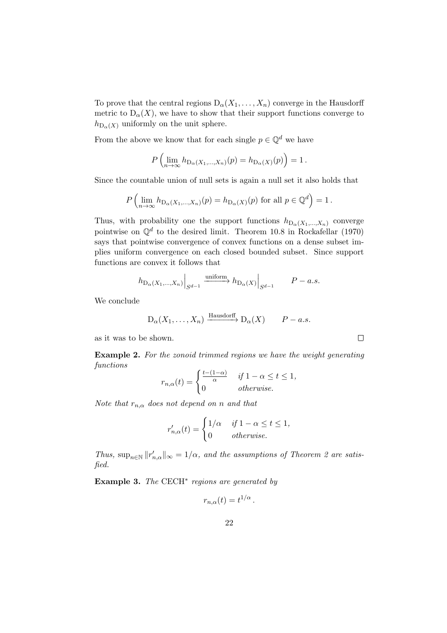To prove that the central regions  $D_{\alpha}(X_1, \ldots, X_n)$  converge in the Hausdorff metric to  $D_{\alpha}(X)$ , we have to show that their support functions converge to  $h_{\mathcal{D}_{\alpha}(X)}$  uniformly on the unit sphere.

From the above we know that for each single  $p \in \mathbb{Q}^d$  we have

$$
P\left(\lim_{n\to\infty}h_{\mathcal{D}_{\alpha}(X_1,\ldots,X_n)}(p)=h_{\mathcal{D}_{\alpha}(X)}(p)\right)=1.
$$

Since the countable union of null sets is again a null set it also holds that

$$
P\left(\lim_{n\to\infty}h_{\mathcal{D}_{\alpha}(X_1,\ldots,X_n)}(p)=h_{\mathcal{D}_{\alpha}(X)}(p) \text{ for all } p\in\mathbb{Q}^d\right)=1.
$$

Thus, with probability one the support functions  $h_{\text{D}_{\alpha}(X_1,...,X_n)}$  converge pointwise on  $\mathbb{Q}^d$  to the desired limit. Theorem 10.8 in Rockafellar (1970) says that pointwise convergence of convex functions on a dense subset implies uniform convergence on each closed bounded subset. Since support functions are convex it follows that

$$
h_{\mathcal{D}_{\alpha}(X_1,\ldots,X_n)}\Big|_{S^{d-1}} \xrightarrow{\text{uniform}} h_{\mathcal{D}_{\alpha}(X)}\Big|_{S^{d-1}} \qquad P-a.s.
$$

We conclude

$$
D_{\alpha}(X_1,\ldots,X_n) \xrightarrow{\text{Hausdorff}} D_{\alpha}(X) \qquad P-a.s.
$$

as it was to be shown.

Example 2. For the zonoid trimmed regions we have the weight generating functions

 $\Box$ 

$$
r_{n,\alpha}(t) = \begin{cases} \frac{t - (1 - \alpha)}{\alpha} & \text{if } 1 - \alpha \le t \le 1, \\ 0 & \text{otherwise.} \end{cases}
$$

Note that  $r_{n,\alpha}$  does not depend on n and that

$$
r'_{n,\alpha}(t) = \begin{cases} 1/\alpha & \text{if } 1 - \alpha \le t \le 1, \\ 0 & \text{otherwise.} \end{cases}
$$

Thus,  $\sup_{n\in\mathbb{N}}||r'_{n,\alpha}||_{\infty}=1/\alpha$ , and the assumptions of Theorem 2 are satisfied.

Example 3. The  $\text{CECH}^*$  regions are generated by

$$
r_{n,\alpha}(t) = t^{1/\alpha}.
$$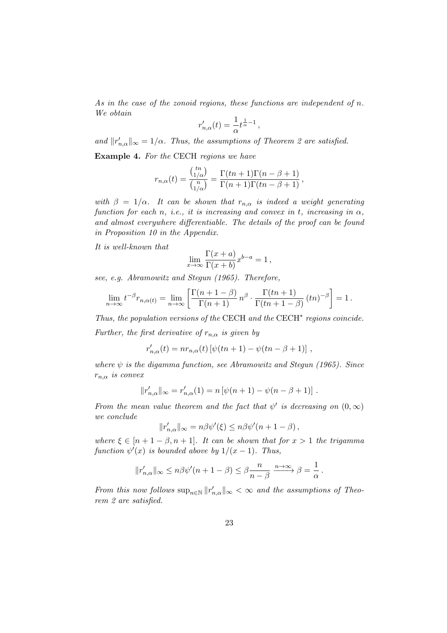As in the case of the zonoid regions, these functions are independent of n. We obtain

$$
r'_{n,\alpha}(t) = \frac{1}{\alpha} t^{\frac{1}{\alpha}-1},
$$

and  $||r'_{n,\alpha}||_{\infty} = 1/\alpha$ . Thus, the assumptions of Theorem 2 are satisfied.

Example 4. For the CECH regions we have

$$
r_{n,\alpha}(t) = \frac{\binom{tn}{1/\alpha}}{\binom{n}{1/\alpha}} = \frac{\Gamma(tn+1)\Gamma(n-\beta+1)}{\Gamma(n+1)\Gamma(tn-\beta+1)},
$$

with  $\beta = 1/\alpha$ . It can be shown that  $r_{n,\alpha}$  is indeed a weight generating function for each n, i.e., it is increasing and convex in t, increasing in  $\alpha$ , and almost everywhere differentiable. The details of the proof can be found in Proposition 10 in the Appendix.

It is well-known that

$$
\lim_{x \to \infty} \frac{\Gamma(x+a)}{\Gamma(x+b)} x^{b-a} = 1,
$$

see, e.g. Abramowitz and Stegun (1965). Therefore,

$$
\lim_{n \to \infty} t^{-\beta} r_{n,\alpha(t)} = \lim_{n \to \infty} \left[ \frac{\Gamma(n+1-\beta)}{\Gamma(n+1)} n^{\beta} \cdot \frac{\Gamma(tn+1)}{\Gamma(tn+1-\beta)} (tn)^{-\beta} \right] = 1.
$$

Thus, the population versions of the CECH and the CECH<sup>∗</sup> regions coincide.

Further, the first derivative of  $r_{n,\alpha}$  is given by

$$
r'_{n,\alpha}(t) = nr_{n,\alpha}(t) [\psi(tn+1) - \psi(tn - \beta + 1)],
$$

where  $\psi$  is the digamma function, see Abramowitz and Stegun (1965). Since  $r_{n,\alpha}$  is convex

$$
||r'_{n,\alpha}||_{\infty} = r'_{n,\alpha}(1) = n [\psi(n+1) - \psi(n-\beta+1)].
$$

From the mean value theorem and the fact that  $\psi'$  is decreasing on  $(0, \infty)$ we conclude

$$
||r'_{n,\alpha}||_{\infty} = n\beta\psi'(\xi) \leq n\beta\psi'(n+1-\beta),
$$

where  $\xi \in [n+1-\beta, n+1]$ . It can be shown that for  $x > 1$  the trigamma function  $\psi'(x)$  is bounded above by  $1/(x-1)$ . Thus,

$$
||r'_{n,\alpha}||_{\infty} \le n\beta\psi'(n+1-\beta) \le \beta\frac{n}{n-\beta} \xrightarrow{n\to\infty} \beta = \frac{1}{\alpha}.
$$

From this now follows  $\sup_{n\in\mathbb{N}} ||r'_{n,\alpha}||_{\infty} < \infty$  and the assumptions of Theorem 2 are satisfied.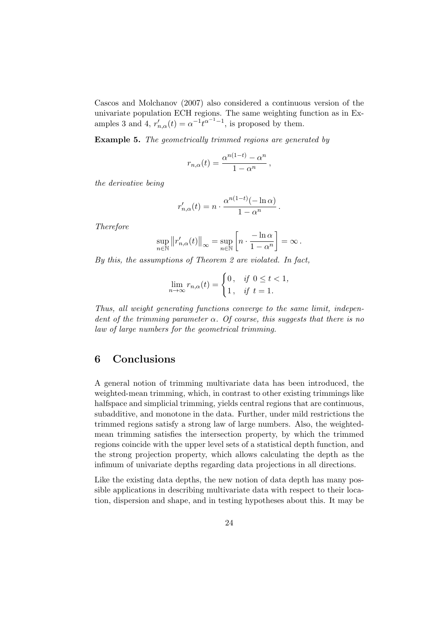Cascos and Molchanov (2007) also considered a continuous version of the univariate population ECH regions. The same weighting function as in Examples 3 and 4,  $r'_{n,\alpha}(t) = \alpha^{-1} t^{\alpha^{-1}-1}$ , is proposed by them.

Example 5. The geometrically trimmed regions are generated by

$$
r_{n,\alpha}(t) = \frac{\alpha^{n(1-t)} - \alpha^n}{1 - \alpha^n},
$$

the derivative being

$$
r'_{n,\alpha}(t) = n \cdot \frac{\alpha^{n(1-t)}(-\ln \alpha)}{1 - \alpha^n}.
$$

Therefore

$$
\sup_{n\in\mathbb{N}}||r'_{n,\alpha}(t)||_{\infty} = \sup_{n\in\mathbb{N}}\left[n\cdot\frac{-\ln\alpha}{1-\alpha^n}\right] = \infty.
$$

By this, the assumptions of Theorem 2 are violated. In fact,

$$
\lim_{n \to \infty} r_{n,\alpha}(t) = \begin{cases} 0, & \text{if } 0 \le t < 1, \\ 1, & \text{if } t = 1. \end{cases}
$$

Thus, all weight generating functions converge to the same limit, independent of the trimming parameter  $\alpha$ . Of course, this suggests that there is no law of large numbers for the geometrical trimming.

## 6 Conclusions

A general notion of trimming multivariate data has been introduced, the weighted-mean trimming, which, in contrast to other existing trimmings like halfspace and simplicial trimming, yields central regions that are continuous, subadditive, and monotone in the data. Further, under mild restrictions the trimmed regions satisfy a strong law of large numbers. Also, the weightedmean trimming satisfies the intersection property, by which the trimmed regions coincide with the upper level sets of a statistical depth function, and the strong projection property, which allows calculating the depth as the infimum of univariate depths regarding data projections in all directions.

Like the existing data depths, the new notion of data depth has many possible applications in describing multivariate data with respect to their location, dispersion and shape, and in testing hypotheses about this. It may be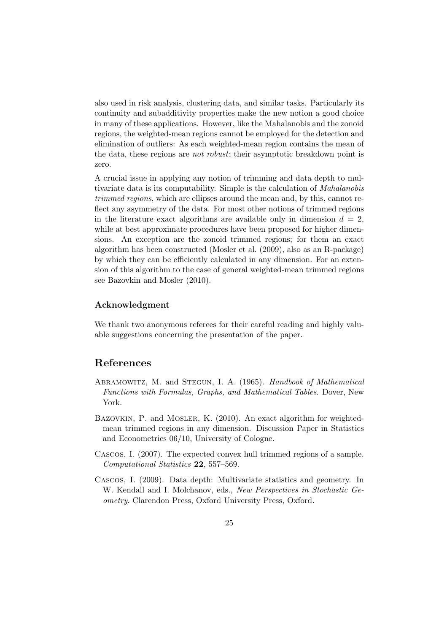also used in risk analysis, clustering data, and similar tasks. Particularly its continuity and subadditivity properties make the new notion a good choice in many of these applications. However, like the Mahalanobis and the zonoid regions, the weighted-mean regions cannot be employed for the detection and elimination of outliers: As each weighted-mean region contains the mean of the data, these regions are not robust; their asymptotic breakdown point is zero.

A crucial issue in applying any notion of trimming and data depth to multivariate data is its computability. Simple is the calculation of Mahalanobis trimmed regions, which are ellipses around the mean and, by this, cannot reflect any asymmetry of the data. For most other notions of trimmed regions in the literature exact algorithms are available only in dimension  $d = 2$ , while at best approximate procedures have been proposed for higher dimensions. An exception are the zonoid trimmed regions; for them an exact algorithm has been constructed (Mosler et al. (2009), also as an R-package) by which they can be efficiently calculated in any dimension. For an extension of this algorithm to the case of general weighted-mean trimmed regions see Bazovkin and Mosler (2010).

### Acknowledgment

We thank two anonymous referees for their careful reading and highly valuable suggestions concerning the presentation of the paper.

## References

- ABRAMOWITZ, M. and STEGUN, I. A. (1965). Handbook of Mathematical Functions with Formulas, Graphs, and Mathematical Tables. Dover, New York.
- BAZOVKIN, P. and MOSLER, K. (2010). An exact algorithm for weightedmean trimmed regions in any dimension. Discussion Paper in Statistics and Econometrics 06/10, University of Cologne.
- Cascos, I. (2007). The expected convex hull trimmed regions of a sample. Computational Statistics 22, 557–569.
- Cascos, I. (2009). Data depth: Multivariate statistics and geometry. In W. Kendall and I. Molchanov, eds., New Perspectives in Stochastic Geometry. Clarendon Press, Oxford University Press, Oxford.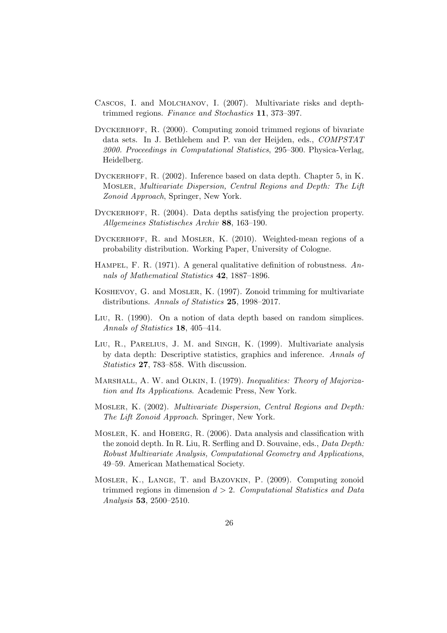- Cascos, I. and Molchanov, I. (2007). Multivariate risks and depthtrimmed regions. Finance and Stochastics 11, 373–397.
- DYCKERHOFF, R. (2000). Computing zonoid trimmed regions of bivariate data sets. In J. Bethlehem and P. van der Heijden, eds., COMPSTAT 2000. Proceedings in Computational Statistics, 295–300. Physica-Verlag, Heidelberg.
- DYCKERHOFF, R. (2002). Inference based on data depth. Chapter 5, in K. Mosler, Multivariate Dispersion, Central Regions and Depth: The Lift Zonoid Approach, Springer, New York.
- DYCKERHOFF, R. (2004). Data depths satisfying the projection property. Allgemeines Statistisches Archiv 88, 163–190.
- DYCKERHOFF, R. and MOSLER, K. (2010). Weighted-mean regions of a probability distribution. Working Paper, University of Cologne.
- HAMPEL, F. R. (1971). A general qualitative definition of robustness.  $An$ nals of Mathematical Statistics 42, 1887–1896.
- Koshevoy, G. and Mosler, K. (1997). Zonoid trimming for multivariate distributions. Annals of Statistics 25, 1998–2017.
- Liu, R. (1990). On a notion of data depth based on random simplices. Annals of Statistics 18, 405–414.
- Liu, R., Parelius, J. M. and Singh, K. (1999). Multivariate analysis by data depth: Descriptive statistics, graphics and inference. Annals of Statistics 27, 783–858. With discussion.
- MARSHALL, A. W. and OLKIN, I. (1979). Inequalities: Theory of Majorization and Its Applications. Academic Press, New York.
- Mosler, K. (2002). Multivariate Dispersion, Central Regions and Depth: The Lift Zonoid Approach. Springer, New York.
- Mosler, K. and Hoberg, R. (2006). Data analysis and classification with the zonoid depth. In R. Liu, R. Serfling and D. Souvaine, eds., Data Depth: Robust Multivariate Analysis, Computational Geometry and Applications, 49–59. American Mathematical Society.
- Mosler, K., Lange, T. and Bazovkin, P. (2009). Computing zonoid trimmed regions in dimension  $d > 2$ . Computational Statistics and Data Analysis 53, 2500–2510.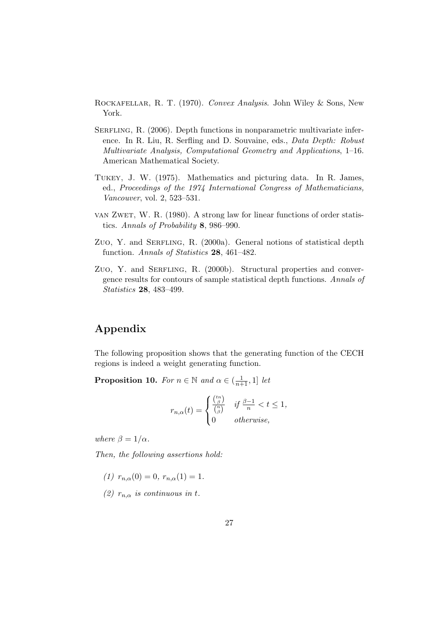- Rockafellar, R. T. (1970). Convex Analysis. John Wiley & Sons, New York.
- SERFLING, R. (2006). Depth functions in nonparametric multivariate inference. In R. Liu, R. Serfling and D. Souvaine, eds., Data Depth: Robust Multivariate Analysis, Computational Geometry and Applications, 1–16. American Mathematical Society.
- Tukey, J. W. (1975). Mathematics and picturing data. In R. James, ed., Proceedings of the 1974 International Congress of Mathematicians, Vancouver, vol. 2, 523–531.
- van Zwet, W. R. (1980). A strong law for linear functions of order statistics. Annals of Probability 8, 986–990.
- Zuo, Y. and SERFLING, R. (2000a). General notions of statistical depth function. Annals of Statistics 28, 461–482.
- Zuo, Y. and SERFLING, R. (2000b). Structural properties and convergence results for contours of sample statistical depth functions. Annals of Statistics 28, 483–499.

## Appendix

The following proposition shows that the generating function of the CECH regions is indeed a weight generating function.

**Proposition 10.** For  $n \in \mathbb{N}$  and  $\alpha \in (\frac{1}{n+1}, 1]$  let

$$
r_{n,\alpha}(t) = \begin{cases} \frac{\binom{tn}{\beta}}{\binom{n}{\beta}} & \text{if } \frac{\beta - 1}{n} < t \le 1, \\ 0 & \text{otherwise,} \end{cases}
$$

where  $\beta = 1/\alpha$ .

Then, the following assertions hold:

- (1)  $r_{n,\alpha}(0) = 0$ ,  $r_{n,\alpha}(1) = 1$ .
- (2)  $r_{n,\alpha}$  is continuous in t.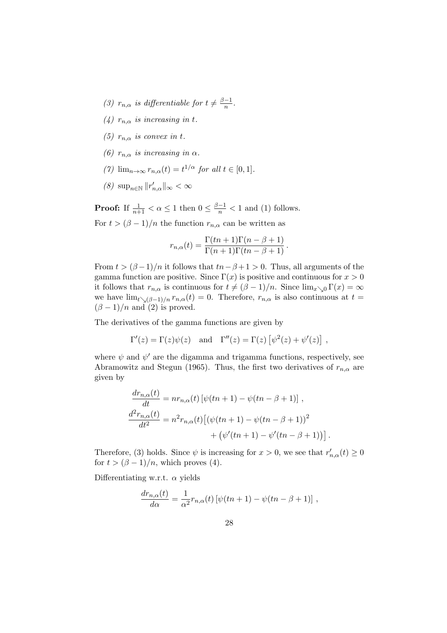- (3)  $r_{n,\alpha}$  is differentiable for  $t \neq \frac{\beta-1}{n}$  $\frac{-1}{n}$ .
- (4)  $r_{n,\alpha}$  is increasing in t.
- (5)  $r_{n,\alpha}$  is convex in t.
- (6)  $r_{n,\alpha}$  is increasing in  $\alpha$ .
- (7)  $\lim_{n\to\infty} r_{n,\alpha}(t) = t^{1/\alpha}$  for all  $t \in [0,1].$
- (8)  $\sup_{n\in\mathbb{N}}||r'_{n,\alpha}||_{\infty}<\infty$

**Proof:** If  $\frac{1}{n+1} < \alpha \leq 1$  then  $0 \leq \frac{\beta-1}{n} < 1$  and (1) follows.

For  $t > (\beta - 1)/n$  the function  $r_{n,\alpha}$  can be written as

$$
r_{n,\alpha}(t) = \frac{\Gamma(tn+1)\Gamma(n-\beta+1)}{\Gamma(n+1)\Gamma(tn-\beta+1)}.
$$

From  $t > (\beta - 1)/n$  it follows that  $tn - \beta + 1 > 0$ . Thus, all arguments of the gamma function are positive. Since  $\Gamma(x)$  is positive and continuous for  $x > 0$ it follows that  $r_{n,\alpha}$  is continuous for  $t \neq (\beta - 1)/n$ . Since  $\lim_{x\searrow 0} \Gamma(x) = \infty$ we have  $\lim_{t\to(\beta-1)/n} r_{n,\alpha}(t) = 0$ . Therefore,  $r_{n,\alpha}$  is also continuous at  $t =$  $(\beta - 1)/n$  and (2) is proved.

The derivatives of the gamma functions are given by

$$
\Gamma'(z) = \Gamma(z)\psi(z)
$$
 and  $\Gamma''(z) = \Gamma(z) [\psi^2(z) + \psi'(z)],$ 

where  $\psi$  and  $\psi'$  are the digamma and trigamma functions, respectively, see Abramowitz and Stegun (1965). Thus, the first two derivatives of  $r_{n,\alpha}$  are given by

$$
\frac{dr_{n,\alpha}(t)}{dt} = nr_{n,\alpha}(t) [\psi(tn+1) - \psi(tn - \beta + 1)],\n\frac{d^2r_{n,\alpha}(t)}{dt^2} = n^2r_{n,\alpha}(t) [(\psi(tn+1) - \psi(tn - \beta + 1))^2\n+ (\psi'(tn+1) - \psi'(tn - \beta + 1))].
$$

Therefore, (3) holds. Since  $\psi$  is increasing for  $x > 0$ , we see that  $r'_{n,\alpha}(t) \ge 0$ for  $t > (\beta - 1)/n$ , which proves (4).

Differentiating w.r.t.  $\alpha$  yields

$$
\frac{dr_{n,\alpha}(t)}{d\alpha} = \frac{1}{\alpha^2} r_{n,\alpha}(t) \left[ \psi(tn+1) - \psi(tn-\beta+1) \right],
$$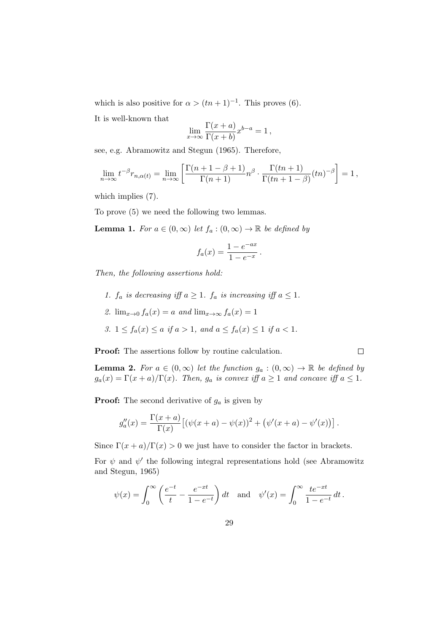which is also positive for  $\alpha > (tn + 1)^{-1}$ . This proves (6).

It is well-known that

$$
\lim_{x \to \infty} \frac{\Gamma(x+a)}{\Gamma(x+b)} x^{b-a} = 1,
$$

see, e.g. Abramowitz and Stegun (1965). Therefore,

$$
\lim_{n \to \infty} t^{-\beta} r_{n,\alpha(t)} = \lim_{n \to \infty} \left[ \frac{\Gamma(n+1-\beta+1)}{\Gamma(n+1)} n^{\beta} \cdot \frac{\Gamma(tn+1)}{\Gamma(tn+1-\beta)} (tn)^{-\beta} \right] = 1,
$$

which implies (7).

To prove (5) we need the following two lemmas.

**Lemma 1.** For  $a \in (0, \infty)$  let  $f_a : (0, \infty) \to \mathbb{R}$  be defined by

$$
f_a(x) = \frac{1 - e^{-ax}}{1 - e^{-x}}.
$$

Then, the following assertions hold:

- 1.  $f_a$  is decreasing iff  $a \geq 1$ .  $f_a$  is increasing iff  $a \leq 1$ .
- 2.  $\lim_{x\to 0} f_a(x) = a$  and  $\lim_{x\to \infty} f_a(x) = 1$
- 3.  $1 \le f_a(x) \le a$  if  $a > 1$ , and  $a \le f_a(x) \le 1$  if  $a < 1$ .

Proof: The assertions follow by routine calculation.

 $\Box$ 

**Lemma 2.** For  $a \in (0,\infty)$  let the function  $g_a : (0,\infty) \to \mathbb{R}$  be defined by  $g_a(x) = \Gamma(x+a)/\Gamma(x)$ . Then,  $g_a$  is convex iff  $a \ge 1$  and concave iff  $a \le 1$ .

**Proof:** The second derivative of  $g_a$  is given by

$$
g''_a(x) = \frac{\Gamma(x+a)}{\Gamma(x)} \left[ (\psi(x+a) - \psi(x))^2 + (\psi'(x+a) - \psi'(x)) \right].
$$

Since  $\Gamma(x+a)/\Gamma(x) > 0$  we just have to consider the factor in brackets.

For  $\psi$  and  $\psi'$  the following integral representations hold (see Abramowitz and Stegun, 1965)

$$
\psi(x) = \int_0^\infty \left( \frac{e^{-t}}{t} - \frac{e^{-xt}}{1 - e^{-t}} \right) dt
$$
 and  $\psi'(x) = \int_0^\infty \frac{te^{-xt}}{1 - e^{-t}} dt$ .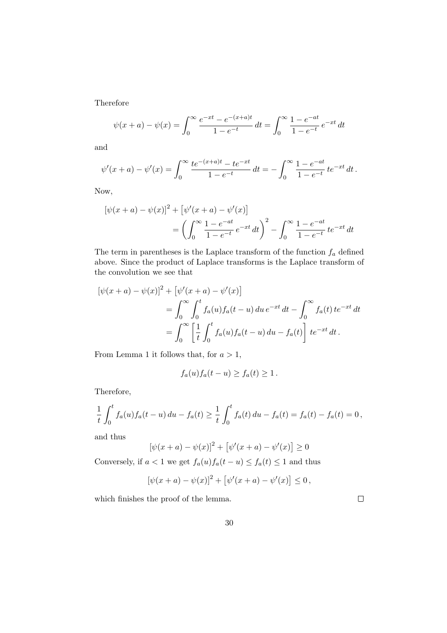Therefore

$$
\psi(x+a) - \psi(x) = \int_0^\infty \frac{e^{-xt} - e^{-(x+a)t}}{1 - e^{-t}} dt = \int_0^\infty \frac{1 - e^{-at}}{1 - e^{-t}} e^{-xt} dt
$$

and

$$
\psi'(x+a) - \psi'(x) = \int_0^\infty \frac{te^{-(x+a)t} - te^{-xt}}{1 - e^{-t}} dt = -\int_0^\infty \frac{1 - e^{-at}}{1 - e^{-t}} te^{-xt} dt.
$$

Now,

$$
[\psi(x+a) - \psi(x)]^2 + [\psi'(x+a) - \psi'(x)]
$$
  
= 
$$
\left(\int_0^\infty \frac{1 - e^{-at}}{1 - e^{-t}} e^{-xt} dt\right)^2 - \int_0^\infty \frac{1 - e^{-at}}{1 - e^{-t}} te^{-xt} dt
$$

The term in parentheses is the Laplace transform of the function  $f_a$  defined above. Since the product of Laplace transforms is the Laplace transform of the convolution we see that

$$
[\psi(x+a) - \psi(x)]^2 + [\psi'(x+a) - \psi'(x)]
$$
  
=  $\int_0^\infty \int_0^t f_a(u) f_a(t-u) du e^{-xt} dt - \int_0^\infty f_a(t) te^{-xt} dt$   
=  $\int_0^\infty \left[ \frac{1}{t} \int_0^t f_a(u) f_a(t-u) du - f_a(t) \right] te^{-xt} dt.$ 

From Lemma 1 it follows that, for  $a > 1$ ,

$$
f_a(u)f_a(t-u) \ge f_a(t) \ge 1.
$$

Therefore,

$$
\frac{1}{t} \int_0^t f_a(u) f_a(t-u) \, du - f_a(t) \ge \frac{1}{t} \int_0^t f_a(t) \, du - f_a(t) = f_a(t) - f_a(t) = 0,
$$

and thus

$$
[\psi(x+a) - \psi(x)]^{2} + [\psi'(x+a) - \psi'(x)] \ge 0
$$

Conversely, if  $a < 1$  we get  $f_a(u) f_a(t - u) \le f_a(t) \le 1$  and thus

$$
[\psi(x+a) - \psi(x)]^{2} + [\psi'(x+a) - \psi'(x)] \leq 0,
$$

which finishes the proof of the lemma.